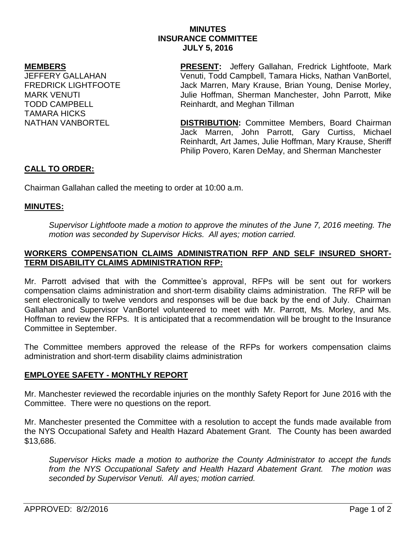# **MINUTES INSURANCE COMMITTEE JULY 5, 2016**

### **MEMBERS**

JEFFERY GALLAHAN FREDRICK LIGHTFOOTE MARK VENUTI TODD CAMPBELL TAMARA HICKS NATHAN VANBORTEL

**PRESENT:** Jeffery Gallahan, Fredrick Lightfoote, Mark Venuti, Todd Campbell, Tamara Hicks, Nathan VanBortel, Jack Marren, Mary Krause, Brian Young, Denise Morley, Julie Hoffman, Sherman Manchester, John Parrott, Mike Reinhardt, and Meghan Tillman

**DISTRIBUTION:** Committee Members, Board Chairman Jack Marren, John Parrott, Gary Curtiss, Michael Reinhardt, Art James, Julie Hoffman, Mary Krause, Sheriff Philip Povero, Karen DeMay, and Sherman Manchester

# **CALL TO ORDER:**

Chairman Gallahan called the meeting to order at 10:00 a.m.

### **MINUTES:**

*Supervisor Lightfoote made a motion to approve the minutes of the June 7, 2016 meeting. The motion was seconded by Supervisor Hicks. All ayes; motion carried.* 

# **WORKERS COMPENSATION CLAIMS ADMINISTRATION RFP AND SELF INSURED SHORT-TERM DISABILITY CLAIMS ADMINISTRATION RFP:**

Mr. Parrott advised that with the Committee's approval, RFPs will be sent out for workers compensation claims administration and short-term disability claims administration. The RFP will be sent electronically to twelve vendors and responses will be due back by the end of July. Chairman Gallahan and Supervisor VanBortel volunteered to meet with Mr. Parrott, Ms. Morley, and Ms. Hoffman to review the RFPs. It is anticipated that a recommendation will be brought to the Insurance Committee in September.

The Committee members approved the release of the RFPs for workers compensation claims administration and short-term disability claims administration

### **EMPLOYEE SAFETY - MONTHLY REPORT**

Mr. Manchester reviewed the recordable injuries on the monthly Safety Report for June 2016 with the Committee. There were no questions on the report.

Mr. Manchester presented the Committee with a resolution to accept the funds made available from the NYS Occupational Safety and Health Hazard Abatement Grant. The County has been awarded \$13,686.

*Supervisor Hicks made a motion to authorize the County Administrator to accept the funds from the NYS Occupational Safety and Health Hazard Abatement Grant. The motion was seconded by Supervisor Venuti. All ayes; motion carried.*